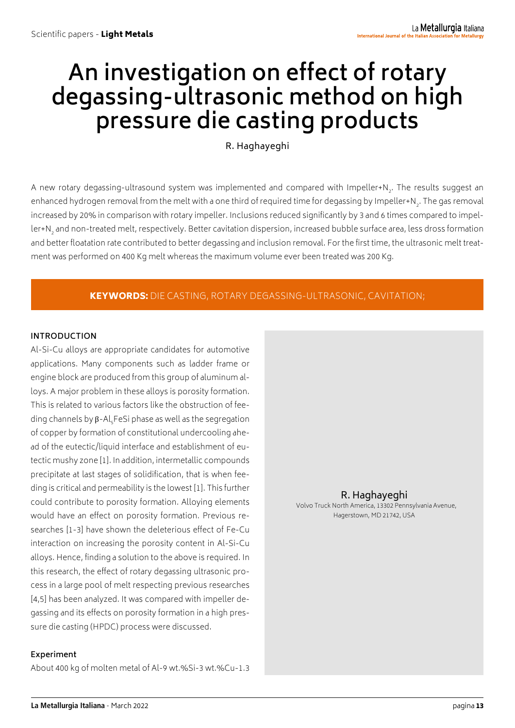# **An investigation on effect of rotary degassing-ultrasonic method on high pressure die casting products**

R. Haghayeghi

A new rotary degassing-ultrasound system was implemented and compared with Impeller+N $_{\textrm{2}}$ . The results suggest an enhanced hydrogen removal from the melt with a one third of required time for degassing by Impeller+N<sub>2</sub>. The gas removal increased by 20% in comparison with rotary impeller. Inclusions reduced significantly by 3 and 6 times compared to impeller+N<sub>2</sub> and non-treated melt, respectively. Better cavitation dispersion, increased bubble surface area, less dross formation and better floatation rate contributed to better degassing and inclusion removal. For the first time, the ultrasonic melt treatment was performed on 400 Kg melt whereas the maximum volume ever been treated was 200 Kg.

## KEYWORDS: DIE CASTING, ROTARY DEGASSING-ULTRASONIC, CAVITATION;

### **INTRODUCTION**

Al-Si-Cu alloys are appropriate candidates for automotive applications. Many components such as ladder frame or engine block are produced from this group of aluminum alloys. A major problem in these alloys is porosity formation. This is related to various factors like the obstruction of feeding channels by β-Al $_{5}$ FeSi phase as well as the segregation of copper by formation of constitutional undercooling ahead of the eutectic/liquid interface and establishment of eutectic mushy zone [1]. In addition, intermetallic compounds precipitate at last stages of solidification, that is when feeding is critical and permeability is the lowest [1]. This further could contribute to porosity formation. Alloying elements would have an effect on porosity formation. Previous researches [1-3] have shown the deleterious effect of Fe-Cu interaction on increasing the porosity content in Al-Si-Cu alloys. Hence, finding a solution to the above is required. In this research, the effect of rotary degassing ultrasonic process in a large pool of melt respecting previous researches [4,5] has been analyzed. It was compared with impeller degassing and its effects on porosity formation in a high pressure die casting (HPDC) process were discussed.

### **Experiment**

About 400 kg of molten metal of Al-9 wt.%Si-3 wt.%Cu-1.3

R. Haghayeghi Volvo Truck North America, 13302 Pennsylvania Avenue, Hagerstown, MD 21742, USA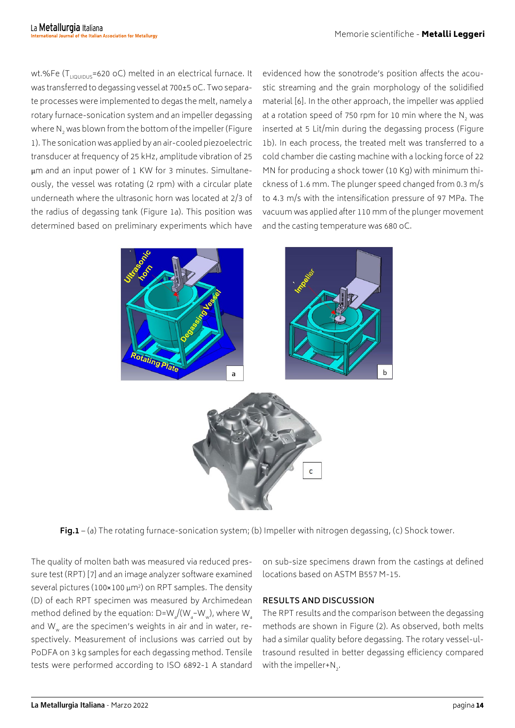wt.%Fe ( $T_{\text{LQUIDIS}}$ =620 oC) melted in an electrical furnace. It was transferred to degassing vessel at 700±5 oC. Two separate processes were implemented to degas the melt, namely a rotary furnace-sonication system and an impeller degassing where N<sub>2</sub> was blown from the bottom of the impeller (Figure 1). The sonication was applied by an air-cooled piezoelectric transducer at frequency of 25 kHz, amplitude vibration of 25 μm and an input power of 1 KW for 3 minutes. Simultaneously, the vessel was rotating (2 rpm) with a circular plate underneath where the ultrasonic horn was located at 2/3 of the radius of degassing tank (Figure 1a). This position was determined based on preliminary experiments which have

evidenced how the sonotrode's position affects the acoustic streaming and the grain morphology of the solidified material [6]. In the other approach, the impeller was applied at a rotation speed of 750 rpm for 10 min where the N<sub>2</sub> was inserted at 5 Lit/min during the degassing process (Figure 1b). In each process, the treated melt was transferred to a cold chamber die casting machine with a locking force of 22 MN for producing a shock tower (10 Kg) with minimum thickness of 1.6 mm. The plunger speed changed from 0.3 m/s to 4.3 m/s with the intensification pressure of 97 MPa. The vacuum was applied after 110 mm of the plunger movement and the casting temperature was 680 oC.



**Fig.1** – (a) The rotating furnace-sonication system; (b) Impeller with nitrogen degassing, (c) Shock tower.

The quality of molten bath was measured via reduced pressure test (RPT) [7] and an image analyzer software examined several pictures (100×100 μm2 ) on RPT samples. The density (D) of each RPT specimen was measured by Archimedean method defined by the equation: D=W $_{\mathrm{a}}$ /(W $_{\mathrm{a}}$ –W $_{\mathrm{w}}$ ), where W $_{\mathrm{a}}$ and  $W_w$  are the specimen's weights in air and in water, respectively. Measurement of inclusions was carried out by PoDFA on 3 kg samples for each degassing method. Tensile tests were performed according to ISO 6892-1 A standard

on sub-size specimens drawn from the castings at defined locations based on ASTM B557 M-15.

### **RESULTS AND DISCUSSION**

The RPT results and the comparison between the degassing methods are shown in Figure (2). As observed, both melts had a similar quality before degassing. The rotary vessel-ultrasound resulted in better degassing efficiency compared with the impeller+N<sub>2</sub>.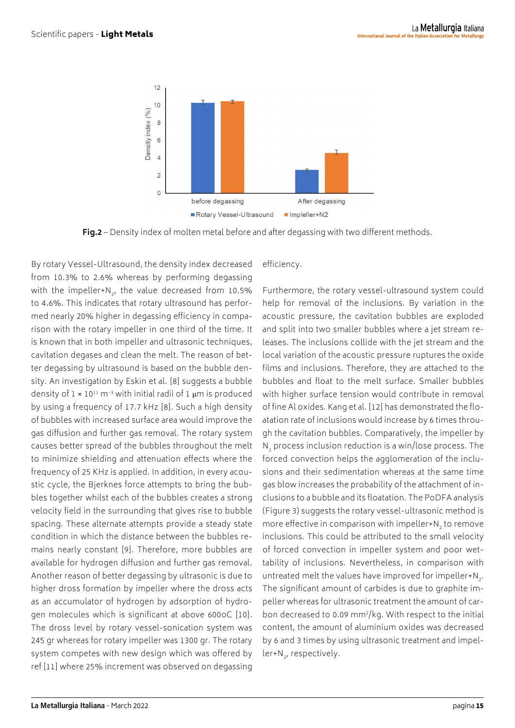

**Fig.2** – Density index of molten metal before and after degassing with two different methods.

By rotary Vessel-Ultrasound, the density index decreased from 10.3% to 2.6% whereas by performing degassing with the impeller+N<sub>2</sub>, the value decreased from 10.5% to 4.6%. This indicates that rotary ultrasound has performed nearly 20% higher in degassing efficiency in comparison with the rotary impeller in one third of the time. It is known that in both impeller and ultrasonic techniques, cavitation degases and clean the melt. The reason of better degassing by ultrasound is based on the bubble density. An investigation by Eskin et al. [8] suggests a bubble density of 1 × 1011 m−3 with initial radii of 1 μm is produced by using a frequency of 17.7 kHz [8]. Such a high density of bubbles with increased surface area would improve the gas diffusion and further gas removal. The rotary system causes better spread of the bubbles throughout the melt to minimize shielding and attenuation effects where the frequency of 25 KHz is applied. In addition, in every acoustic cycle, the Bjerknes force attempts to bring the bubbles together whilst each of the bubbles creates a strong velocity field in the surrounding that gives rise to bubble spacing. These alternate attempts provide a steady state condition in which the distance between the bubbles remains nearly constant [9]. Therefore, more bubbles are available for hydrogen diffusion and further gas removal. Another reason of better degassing by ultrasonic is due to higher dross formation by impeller where the dross acts as an accumulator of hydrogen by adsorption of hydrogen molecules which is significant at above 600oC [10]. The dross level by rotary vessel-sonication system was 245 gr whereas for rotary impeller was 1300 gr. The rotary system competes with new design which was offered by ref [11] where 25% increment was observed on degassing

efficiency.

Furthermore, the rotary vessel-ultrasound system could help for removal of the inclusions. By variation in the acoustic pressure, the cavitation bubbles are exploded and split into two smaller bubbles where a jet stream releases. The inclusions collide with the jet stream and the local variation of the acoustic pressure ruptures the oxide films and inclusions. Therefore, they are attached to the bubbles and float to the melt surface. Smaller bubbles with higher surface tension would contribute in removal of fine Al oxides. Kang et al. [12] has demonstrated the floatation rate of inclusions would increase by 6 times through the cavitation bubbles. Comparatively, the impeller by N<sub>2</sub> process inclusion reduction is a win/lose process. The forced convection helps the agglomeration of the inclusions and their sedimentation whereas at the same time gas blow increases the probability of the attachment of inclusions to a bubble and its floatation. The PoDFA analysis (Figure 3) suggests the rotary vessel-ultrasonic method is more effective in comparison with impeller+N<sub>2</sub> to remove inclusions. This could be attributed to the small velocity of forced convection in impeller system and poor wettability of inclusions. Nevertheless, in comparison with untreated melt the values have improved for impeller+N<sub>2</sub>. The significant amount of carbides is due to graphite impeller whereas for ultrasonic treatment the amount of carbon decreased to 0.09 mm2/kg. With respect to the initial content, the amount of aluminium oxides was decreased by 6 and 3 times by using ultrasonic treatment and impeller+N<sub>2</sub>, respectively.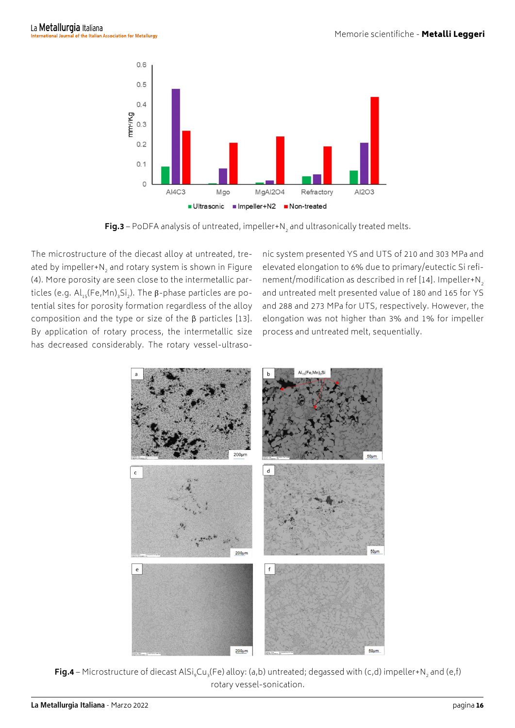

**Fig.3** – PoDFA analysis of untreated, impeller+N<sub>2</sub> and ultrasonically treated melts.

The microstructure of the diecast alloy at untreated, treated by impeller+N<sub>2</sub> and rotary system is shown in Figure (4). More porosity are seen close to the intermetallic particles (e.g. Al<sub>15</sub>(Fe,Mn)<sub>3</sub>Si<sub>3</sub>). The  $\beta$ -phase particles are potential sites for porosity formation regardless of the alloy composition and the type or size of the β particles [13]. By application of rotary process, the intermetallic size has decreased considerably. The rotary vessel-ultraso-

nic system presented YS and UTS of 210 and 303 MPa and elevated elongation to 6% due to primary/eutectic Si refinement/modification as described in ref [14]. Impeller+N<sub>2</sub> and untreated melt presented value of 180 and 165 for YS and 288 and 273 MPa for UTS, respectively. However, the elongation was not higher than 3% and 1% for impeller process and untreated melt, sequentially.



 ${\sf Fig.4}$  – Microstructure of diecast AlSi<sub>9</sub>Cu<sub>3</sub>(Fe) alloy: (a,b) untreated; degassed with (c,d) impeller+N<sub>2</sub> and (e,f) rotary vessel-sonication.